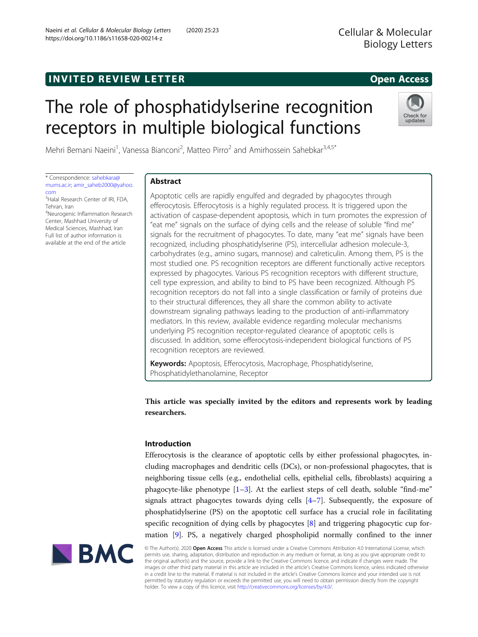# The role of phosphatidylserine recognition receptors in multiple biological functions



Mehri Bemani Naeini<sup>1</sup>, Vanessa Bianconi<sup>2</sup>, Matteo Pirro<sup>2</sup> and Amirhossein Sahebkar<sup>3,4,5\*</sup>

\* Correspondence: [sahebkara@](mailto:sahebkara@mums.ac.ir) [mums.ac.ir](mailto:sahebkara@mums.ac.ir); [amir\\_saheb2000@yahoo.](mailto:amir_saheb2000@yahoo.com) [com](mailto:amir_saheb2000@yahoo.com)

<sup>3</sup>Halal Research Center of IRI, FDA, Tehran, Iran

4 Neurogenic Inflammation Research Center, Mashhad University of Medical Sciences, Mashhad, Iran Full list of author information is available at the end of the article

# Abstract

Apoptotic cells are rapidly engulfed and degraded by phagocytes through efferocytosis. Efferocytosis is a highly regulated process. It is triggered upon the activation of caspase-dependent apoptosis, which in turn promotes the expression of "eat me" signals on the surface of dying cells and the release of soluble "find me" signals for the recruitment of phagocytes. To date, many "eat me" signals have been recognized, including phosphatidylserine (PS), intercellular adhesion molecule-3, carbohydrates (e.g., amino sugars, mannose) and calreticulin. Among them, PS is the most studied one. PS recognition receptors are different functionally active receptors expressed by phagocytes. Various PS recognition receptors with different structure, cell type expression, and ability to bind to PS have been recognized. Although PS recognition receptors do not fall into a single classification or family of proteins due to their structural differences, they all share the common ability to activate downstream signaling pathways leading to the production of anti-inflammatory mediators. In this review, available evidence regarding molecular mechanisms underlying PS recognition receptor-regulated clearance of apoptotic cells is discussed. In addition, some efferocytosis-independent biological functions of PS recognition receptors are reviewed.

Keywords: Apoptosis, Efferocytosis, Macrophage, Phosphatidylserine, Phosphatidylethanolamine, Receptor

This article was specially invited by the editors and represents work by leading researchers.

# Introduction

Efferocytosis is the clearance of apoptotic cells by either professional phagocytes, including macrophages and dendritic cells (DCs), or non-professional phagocytes, that is neighboring tissue cells (e.g., endothelial cells, epithelial cells, fibroblasts) acquiring a phagocyte-like phenotype  $[1-3]$  $[1-3]$  $[1-3]$  $[1-3]$ . At the earliest steps of cell death, soluble "find-me" signals attract phagocytes towards dying cells [\[4](#page-10-0)–[7\]](#page-10-0). Subsequently, the exposure of phosphatidylserine (PS) on the apoptotic cell surface has a crucial role in facilitating specific recognition of dying cells by phagocytes [[8\]](#page-10-0) and triggering phagocytic cup formation [\[9\]](#page-10-0). PS, a negatively charged phospholipid normally confined to the inner



© The Author(s). 2020 Open Access This article is licensed under a Creative Commons Attribution 4.0 International License, which permits use, sharing, adaptation, distribution and reproduction in any medium or format, as long as you give appropriate credit to the original author(s) and the source, provide a link to the Creative Commons licence, and indicate if changes were made. The images or other third party material in this article are included in the article's Creative Commons licence, unless indicated otherwise in a credit line to the material. If material is not included in the article's Creative Commons licence and your intended use is not permitted by statutory regulation or exceeds the permitted use, you will need to obtain permission directly from the copyright holder. To view a copy of this licence, visit [http://creativecommons.org/licenses/by/4.0/.](http://creativecommons.org/licenses/by/4.0/)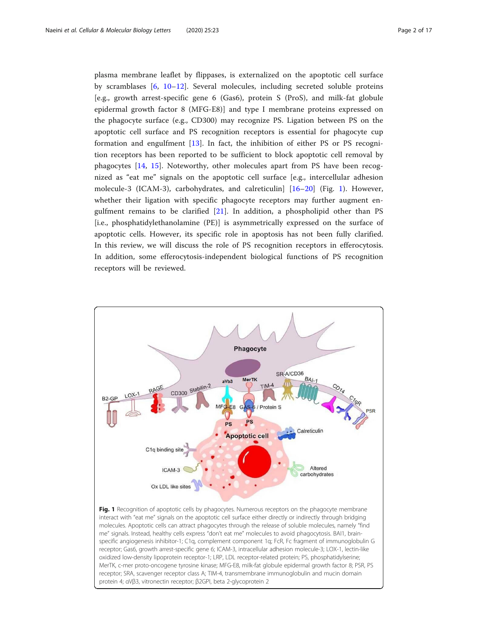plasma membrane leaflet by flippases, is externalized on the apoptotic cell surface by scramblases [[6,](#page-10-0) [10](#page-10-0)–[12\]](#page-11-0). Several molecules, including secreted soluble proteins [e.g., growth arrest-specific gene 6 (Gas6), protein S (ProS), and milk-fat globule epidermal growth factor 8 (MFG-E8)] and type I membrane proteins expressed on the phagocyte surface (e.g., CD300) may recognize PS. Ligation between PS on the apoptotic cell surface and PS recognition receptors is essential for phagocyte cup formation and engulfment [[13\]](#page-11-0). In fact, the inhibition of either PS or PS recognition receptors has been reported to be sufficient to block apoptotic cell removal by phagocytes [\[14](#page-11-0), [15](#page-11-0)]. Noteworthy, other molecules apart from PS have been recognized as "eat me" signals on the apoptotic cell surface [e.g., intercellular adhesion molecule-3 (ICAM-3), carbohydrates, and calreticulin] [[16](#page-11-0)–[20\]](#page-11-0) (Fig. 1). However, whether their ligation with specific phagocyte receptors may further augment engulfment remains to be clarified [\[21](#page-11-0)]. In addition, a phospholipid other than PS [i.e., phosphatidylethanolamine (PE)] is asymmetrically expressed on the surface of apoptotic cells. However, its specific role in apoptosis has not been fully clarified. In this review, we will discuss the role of PS recognition receptors in efferocytosis. In addition, some efferocytosis-independent biological functions of PS recognition receptors will be reviewed.



Fig. 1 Recognition of apoptotic cells by phagocytes. Numerous receptors on the phagocyte membrane interact with "eat me" signals on the apoptotic cell surface either directly or indirectly through bridging molecules. Apoptotic cells can attract phagocytes through the release of soluble molecules, namely "find me" signals. Instead, healthy cells express "don't eat me" molecules to avoid phagocytosis. BAI1, brainspecific angiogenesis inhibitor-1; C1q, complement component 1q; FcR, Fc fragment of immunoglobulin G receptor; Gas6, growth arrest-specific gene 6; ICAM-3, intracellular adhesion molecule-3; LOX-1, lectin-like oxidized low-density lipoprotein receptor-1; LRP, LDL receptor-related protein; PS, phosphatidylserine; MerTK, c-mer proto-oncogene tyrosine kinase; MFG-E8, milk-fat globule epidermal growth factor 8; PSR, PS receptor; SRA, scavenger receptor class A; TIM-4, transmembrane immunoglobulin and mucin domain protein 4; αVβ3, vitronectin receptor; β2GPI, beta 2-glycoprotein 2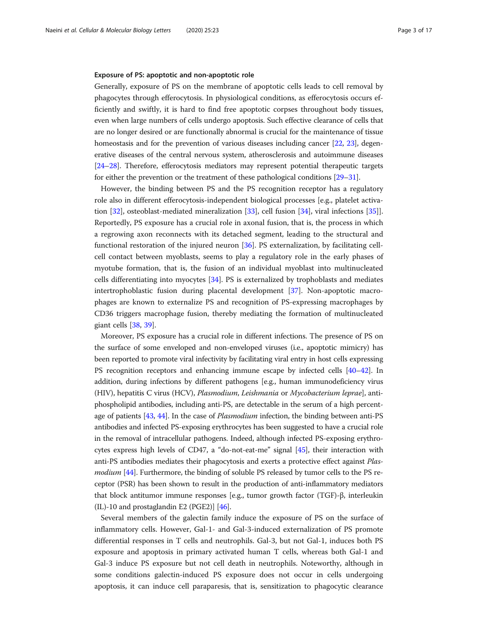#### Exposure of PS: apoptotic and non-apoptotic role

Generally, exposure of PS on the membrane of apoptotic cells leads to cell removal by phagocytes through efferocytosis. In physiological conditions, as efferocytosis occurs efficiently and swiftly, it is hard to find free apoptotic corpses throughout body tissues, even when large numbers of cells undergo apoptosis. Such effective clearance of cells that are no longer desired or are functionally abnormal is crucial for the maintenance of tissue homeostasis and for the prevention of various diseases including cancer [\[22,](#page-11-0) [23\]](#page-11-0), degenerative diseases of the central nervous system, atherosclerosis and autoimmune diseases [[24](#page-11-0)–[28\]](#page-11-0). Therefore, efferocytosis mediators may represent potential therapeutic targets for either the prevention or the treatment of these pathological conditions [[29](#page-11-0)–[31\]](#page-11-0).

However, the binding between PS and the PS recognition receptor has a regulatory role also in different efferocytosis-independent biological processes [e.g., platelet activation [\[32\]](#page-11-0), osteoblast-mediated mineralization [[33\]](#page-11-0), cell fusion [\[34](#page-11-0)], viral infections [\[35](#page-11-0)]]. Reportedly, PS exposure has a crucial role in axonal fusion, that is, the process in which a regrowing axon reconnects with its detached segment, leading to the structural and functional restoration of the injured neuron [\[36](#page-11-0)]. PS externalization, by facilitating cellcell contact between myoblasts, seems to play a regulatory role in the early phases of myotube formation, that is, the fusion of an individual myoblast into multinucleated cells differentiating into myocytes [[34\]](#page-11-0). PS is externalized by trophoblasts and mediates intertrophoblastic fusion during placental development [\[37](#page-11-0)]. Non-apoptotic macrophages are known to externalize PS and recognition of PS-expressing macrophages by CD36 triggers macrophage fusion, thereby mediating the formation of multinucleated giant cells [[38](#page-11-0), [39](#page-11-0)].

Moreover, PS exposure has a crucial role in different infections. The presence of PS on the surface of some enveloped and non-enveloped viruses (i.e., apoptotic mimicry) has been reported to promote viral infectivity by facilitating viral entry in host cells expressing PS recognition receptors and enhancing immune escape by infected cells [\[40](#page-11-0)–[42](#page-11-0)]. In addition, during infections by different pathogens [e.g., human immunodeficiency virus (HIV), hepatitis C virus (HCV), Plasmodium, Leishmania or Mycobacterium leprae], antiphospholipid antibodies, including anti-PS, are detectable in the serum of a high percentage of patients [[43](#page-11-0), [44\]](#page-11-0). In the case of Plasmodium infection, the binding between anti-PS antibodies and infected PS-exposing erythrocytes has been suggested to have a crucial role in the removal of intracellular pathogens. Indeed, although infected PS-exposing erythrocytes express high levels of CD47, a "do-not-eat-me" signal [\[45\]](#page-11-0), their interaction with anti-PS antibodies mediates their phagocytosis and exerts a protective effect against Plas-modium [[44\]](#page-11-0). Furthermore, the binding of soluble PS released by tumor cells to the PS receptor (PSR) has been shown to result in the production of anti-inflammatory mediators that block antitumor immune responses [e.g., tumor growth factor (TGF)-β, interleukin  $(IL)$ -10 and prostaglandin E2 (PGE2)] [\[46](#page-11-0)].

Several members of the galectin family induce the exposure of PS on the surface of inflammatory cells. However, Gal-1- and Gal-3-induced externalization of PS promote differential responses in T cells and neutrophils. Gal-3, but not Gal-1, induces both PS exposure and apoptosis in primary activated human T cells, whereas both Gal-1 and Gal-3 induce PS exposure but not cell death in neutrophils. Noteworthy, although in some conditions galectin-induced PS exposure does not occur in cells undergoing apoptosis, it can induce cell paraparesis, that is, sensitization to phagocytic clearance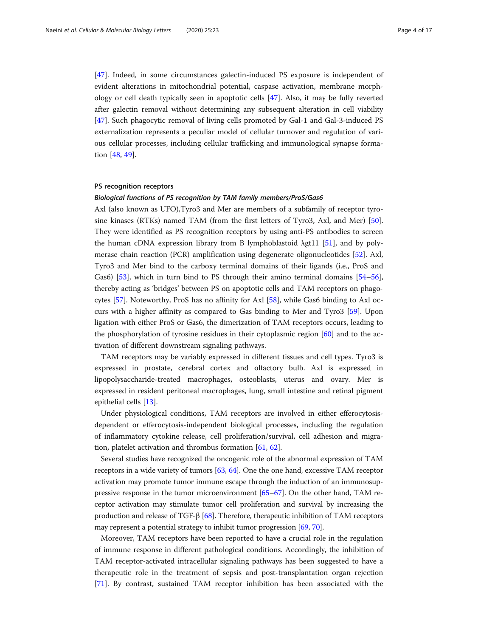[[47\]](#page-12-0). Indeed, in some circumstances galectin-induced PS exposure is independent of evident alterations in mitochondrial potential, caspase activation, membrane morphology or cell death typically seen in apoptotic cells [[47](#page-12-0)]. Also, it may be fully reverted after galectin removal without determining any subsequent alteration in cell viability [[47\]](#page-12-0). Such phagocytic removal of living cells promoted by Gal-1 and Gal-3-induced PS externalization represents a peculiar model of cellular turnover and regulation of various cellular processes, including cellular trafficking and immunological synapse formation [\[48,](#page-12-0) [49\]](#page-12-0).

## PS recognition receptors

### Biological functions of PS recognition by TAM family members/ProS/Gas6

Axl (also known as UFO),Tyro3 and Mer are members of a subfamily of receptor tyrosine kinases (RTKs) named TAM (from the first letters of Tyro3, Axl, and Mer) [[50](#page-12-0)]. They were identified as PS recognition receptors by using anti-PS antibodies to screen the human cDNA expression library from B lymphoblastoid λgt11 [[51\]](#page-12-0), and by polymerase chain reaction (PCR) amplification using degenerate oligonucleotides [[52](#page-12-0)]. Axl, Tyro3 and Mer bind to the carboxy terminal domains of their ligands (i.e., ProS and Gas6) [\[53](#page-12-0)], which in turn bind to PS through their amino terminal domains [[54](#page-12-0)–[56](#page-12-0)], thereby acting as 'bridges' between PS on apoptotic cells and TAM receptors on phagocytes [\[57\]](#page-12-0). Noteworthy, ProS has no affinity for Axl [\[58](#page-12-0)], while Gas6 binding to Axl occurs with a higher affinity as compared to Gas binding to Mer and Tyro3 [[59\]](#page-12-0). Upon ligation with either ProS or Gas6, the dimerization of TAM receptors occurs, leading to the phosphorylation of tyrosine residues in their cytoplasmic region [\[60](#page-12-0)] and to the activation of different downstream signaling pathways.

TAM receptors may be variably expressed in different tissues and cell types. Tyro3 is expressed in prostate, cerebral cortex and olfactory bulb. Axl is expressed in lipopolysaccharide-treated macrophages, osteoblasts, uterus and ovary. Mer is expressed in resident peritoneal macrophages, lung, small intestine and retinal pigment epithelial cells [\[13](#page-11-0)].

Under physiological conditions, TAM receptors are involved in either efferocytosisdependent or efferocytosis-independent biological processes, including the regulation of inflammatory cytokine release, cell proliferation/survival, cell adhesion and migration, platelet activation and thrombus formation [[61](#page-12-0), [62](#page-12-0)].

Several studies have recognized the oncogenic role of the abnormal expression of TAM receptors in a wide variety of tumors [[63](#page-12-0), [64\]](#page-12-0). One the one hand, excessive TAM receptor activation may promote tumor immune escape through the induction of an immunosuppressive response in the tumor microenvironment [\[65](#page-12-0)–[67](#page-12-0)]. On the other hand, TAM receptor activation may stimulate tumor cell proliferation and survival by increasing the production and release of TGF-β [[68](#page-12-0)]. Therefore, therapeutic inhibition of TAM receptors may represent a potential strategy to inhibit tumor progression [[69](#page-12-0), [70\]](#page-12-0).

Moreover, TAM receptors have been reported to have a crucial role in the regulation of immune response in different pathological conditions. Accordingly, the inhibition of TAM receptor-activated intracellular signaling pathways has been suggested to have a therapeutic role in the treatment of sepsis and post-transplantation organ rejection [[71\]](#page-12-0). By contrast, sustained TAM receptor inhibition has been associated with the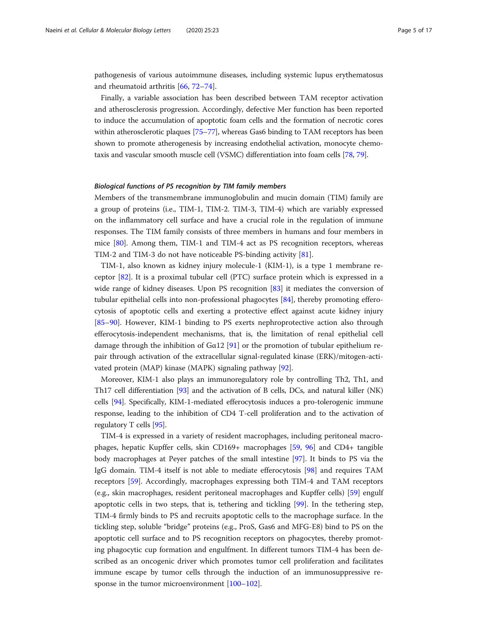pathogenesis of various autoimmune diseases, including systemic lupus erythematosus and rheumatoid arthritis [\[66](#page-12-0), [72](#page-12-0)–[74\]](#page-12-0).

Finally, a variable association has been described between TAM receptor activation and atherosclerosis progression. Accordingly, defective Mer function has been reported to induce the accumulation of apoptotic foam cells and the formation of necrotic cores within atherosclerotic plaques [\[75](#page-12-0)–[77](#page-12-0)], whereas Gas6 binding to TAM receptors has been shown to promote atherogenesis by increasing endothelial activation, monocyte chemotaxis and vascular smooth muscle cell (VSMC) differentiation into foam cells [\[78,](#page-12-0) [79\]](#page-12-0).

#### Biological functions of PS recognition by TIM family members

Members of the transmembrane immunoglobulin and mucin domain (TIM) family are a group of proteins (i.e., TIM-1, TIM-2. TIM-3, TIM-4) which are variably expressed on the inflammatory cell surface and have a crucial role in the regulation of immune responses. The TIM family consists of three members in humans and four members in mice [\[80](#page-12-0)]. Among them, TIM-1 and TIM-4 act as PS recognition receptors, whereas TIM-2 and TIM-3 do not have noticeable PS-binding activity [[81](#page-13-0)].

TIM-1, also known as kidney injury molecule-1 (KIM-1), is a type 1 membrane receptor [\[82](#page-13-0)]. It is a proximal tubular cell (PTC) surface protein which is expressed in a wide range of kidney diseases. Upon PS recognition [[83\]](#page-13-0) it mediates the conversion of tubular epithelial cells into non-professional phagocytes [[84\]](#page-13-0), thereby promoting efferocytosis of apoptotic cells and exerting a protective effect against acute kidney injury [[85](#page-13-0)–[90](#page-13-0)]. However, KIM-1 binding to PS exerts nephroprotective action also through efferocytosis-independent mechanisms, that is, the limitation of renal epithelial cell damage through the inhibition of  $G \alpha 12$  [[91\]](#page-13-0) or the promotion of tubular epithelium repair through activation of the extracellular signal-regulated kinase (ERK)/mitogen-activated protein (MAP) kinase (MAPK) signaling pathway [\[92](#page-13-0)].

Moreover, KIM-1 also plays an immunoregulatory role by controlling Th2, Th1, and Th17 cell differentiation [\[93\]](#page-13-0) and the activation of B cells, DCs, and natural killer (NK) cells [[94\]](#page-13-0). Specifically, KIM-1-mediated efferocytosis induces a pro-tolerogenic immune response, leading to the inhibition of CD4 T-cell proliferation and to the activation of regulatory T cells [[95\]](#page-13-0).

TIM-4 is expressed in a variety of resident macrophages, including peritoneal macrophages, hepatic Kupffer cells, skin CD169+ macrophages [\[59](#page-12-0), [96](#page-13-0)] and CD4+ tangible body macrophages at Peyer patches of the small intestine [\[97](#page-13-0)]. It binds to PS via the IgG domain. TIM-4 itself is not able to mediate efferocytosis [\[98](#page-13-0)] and requires TAM receptors [\[59](#page-12-0)]. Accordingly, macrophages expressing both TIM-4 and TAM receptors (e.g., skin macrophages, resident peritoneal macrophages and Kupffer cells) [\[59\]](#page-12-0) engulf apoptotic cells in two steps, that is, tethering and tickling [\[99](#page-13-0)]. In the tethering step, TIM-4 firmly binds to PS and recruits apoptotic cells to the macrophage surface. In the tickling step, soluble "bridge" proteins (e.g., ProS, Gas6 and MFG-E8) bind to PS on the apoptotic cell surface and to PS recognition receptors on phagocytes, thereby promoting phagocytic cup formation and engulfment. In different tumors TIM-4 has been described as an oncogenic driver which promotes tumor cell proliferation and facilitates immune escape by tumor cells through the induction of an immunosuppressive re-sponse in the tumor microenvironment [[100](#page-13-0)–[102](#page-13-0)].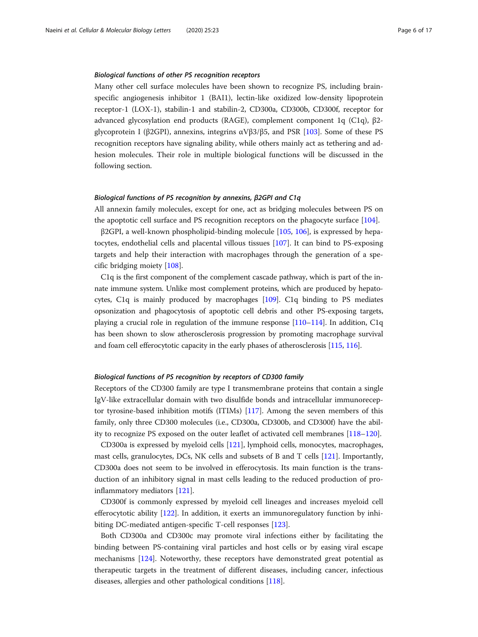#### Biological functions of other PS recognition receptors

Many other cell surface molecules have been shown to recognize PS, including brainspecific angiogenesis inhibitor 1 (BAI1), lectin-like oxidized low-density lipoprotein receptor-1 (LOX-1), stabilin-1 and stabilin-2, CD300a, CD300b, CD300f, receptor for advanced glycosylation end products (RAGE), complement component 1q (C1q), β2 glycoprotein I (β2GPI), annexins, integrins αVβ3/β5, and PSR [\[103\]](#page-13-0). Some of these PS recognition receptors have signaling ability, while others mainly act as tethering and adhesion molecules. Their role in multiple biological functions will be discussed in the following section.

#### Biological functions of PS recognition by annexins, β2GPI and C1q

All annexin family molecules, except for one, act as bridging molecules between PS on the apoptotic cell surface and PS recognition receptors on the phagocyte surface [\[104](#page-13-0)].

β2GPI, a well-known phospholipid-binding molecule [\[105,](#page-13-0) [106](#page-13-0)], is expressed by hepatocytes, endothelial cells and placental villous tissues [[107\]](#page-13-0). It can bind to PS-exposing targets and help their interaction with macrophages through the generation of a specific bridging moiety [\[108\]](#page-13-0).

C1q is the first component of the complement cascade pathway, which is part of the innate immune system. Unlike most complement proteins, which are produced by hepatocytes, C1q is mainly produced by macrophages [\[109](#page-13-0)]. C1q binding to PS mediates opsonization and phagocytosis of apoptotic cell debris and other PS-exposing targets, playing a crucial role in regulation of the immune response  $[110-114]$  $[110-114]$  $[110-114]$  $[110-114]$ . In addition, C1q has been shown to slow atherosclerosis progression by promoting macrophage survival and foam cell efferocytotic capacity in the early phases of atherosclerosis [\[115,](#page-13-0) [116\]](#page-13-0).

#### Biological functions of PS recognition by receptors of CD300 family

Receptors of the CD300 family are type I transmembrane proteins that contain a single IgV-like extracellular domain with two disulfide bonds and intracellular immunoreceptor tyrosine-based inhibition motifs (ITIMs) [[117](#page-14-0)]. Among the seven members of this family, only three CD300 molecules (i.e., CD300a, CD300b, and CD300f) have the ability to recognize PS exposed on the outer leaflet of activated cell membranes [[118](#page-14-0)–[120](#page-14-0)].

CD300a is expressed by myeloid cells [\[121](#page-14-0)], lymphoid cells, monocytes, macrophages, mast cells, granulocytes, DCs, NK cells and subsets of B and T cells [[121](#page-14-0)]. Importantly, CD300a does not seem to be involved in efferocytosis. Its main function is the transduction of an inhibitory signal in mast cells leading to the reduced production of proinflammatory mediators [\[121\]](#page-14-0).

CD300f is commonly expressed by myeloid cell lineages and increases myeloid cell efferocytotic ability [[122\]](#page-14-0). In addition, it exerts an immunoregulatory function by inhibiting DC-mediated antigen-specific T-cell responses [\[123](#page-14-0)].

Both CD300a and CD300c may promote viral infections either by facilitating the binding between PS-containing viral particles and host cells or by easing viral escape mechanisms [\[124](#page-14-0)]. Noteworthy, these receptors have demonstrated great potential as therapeutic targets in the treatment of different diseases, including cancer, infectious diseases, allergies and other pathological conditions [[118\]](#page-14-0).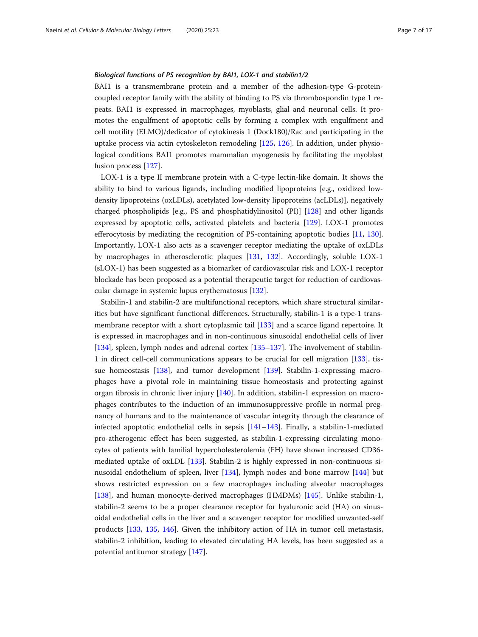#### Biological functions of PS recognition by BAI1, LOX-1 and stabilin1/2

BAI1 is a transmembrane protein and a member of the adhesion-type G-proteincoupled receptor family with the ability of binding to PS via thrombospondin type 1 repeats. BAI1 is expressed in macrophages, myoblasts, glial and neuronal cells. It promotes the engulfment of apoptotic cells by forming a complex with engulfment and cell motility (ELMO)/dedicator of cytokinesis 1 (Dock180)/Rac and participating in the uptake process via actin cytoskeleton remodeling [\[125,](#page-14-0) [126](#page-14-0)]. In addition, under physiological conditions BAI1 promotes mammalian myogenesis by facilitating the myoblast fusion process [\[127\]](#page-14-0).

LOX-1 is a type II membrane protein with a C-type lectin-like domain. It shows the ability to bind to various ligands, including modified lipoproteins [e.g., oxidized lowdensity lipoproteins (oxLDLs), acetylated low-density lipoproteins (acLDLs)], negatively charged phospholipids [e.g., PS and phosphatidylinositol (PI)] [[128](#page-14-0)] and other ligands expressed by apoptotic cells, activated platelets and bacteria [\[129](#page-14-0)]. LOX-1 promotes efferocytosis by mediating the recognition of PS-containing apoptotic bodies [\[11,](#page-11-0) [130](#page-14-0)]. Importantly, LOX-1 also acts as a scavenger receptor mediating the uptake of oxLDLs by macrophages in atherosclerotic plaques [\[131,](#page-14-0) [132](#page-14-0)]. Accordingly, soluble LOX-1 (sLOX-1) has been suggested as a biomarker of cardiovascular risk and LOX-1 receptor blockade has been proposed as a potential therapeutic target for reduction of cardiovascular damage in systemic lupus erythematosus [\[132\]](#page-14-0).

Stabilin-1 and stabilin-2 are multifunctional receptors, which share structural similarities but have significant functional differences. Structurally, stabilin-1 is a type-1 transmembrane receptor with a short cytoplasmic tail [[133](#page-14-0)] and a scarce ligand repertoire. It is expressed in macrophages and in non-continuous sinusoidal endothelial cells of liver [[134\]](#page-14-0), spleen, lymph nodes and adrenal cortex [[135](#page-14-0)–[137](#page-14-0)]. The involvement of stabilin-1 in direct cell-cell communications appears to be crucial for cell migration [[133\]](#page-14-0), tissue homeostasis [[138](#page-14-0)], and tumor development [\[139\]](#page-14-0). Stabilin-1-expressing macrophages have a pivotal role in maintaining tissue homeostasis and protecting against organ fibrosis in chronic liver injury [[140\]](#page-14-0). In addition, stabilin-1 expression on macrophages contributes to the induction of an immunosuppressive profile in normal pregnancy of humans and to the maintenance of vascular integrity through the clearance of infected apoptotic endothelial cells in sepsis [\[141](#page-14-0)–[143\]](#page-14-0). Finally, a stabilin-1-mediated pro-atherogenic effect has been suggested, as stabilin-1-expressing circulating monocytes of patients with familial hypercholesterolemia (FH) have shown increased CD36 mediated uptake of oxLDL [\[133](#page-14-0)]. Stabilin-2 is highly expressed in non-continuous sinusoidal endothelium of spleen, liver [[134](#page-14-0)], lymph nodes and bone marrow [\[144](#page-14-0)] but shows restricted expression on a few macrophages including alveolar macrophages [[138\]](#page-14-0), and human monocyte-derived macrophages (HMDMs) [\[145](#page-14-0)]. Unlike stabilin-1, stabilin-2 seems to be a proper clearance receptor for hyaluronic acid (HA) on sinusoidal endothelial cells in the liver and a scavenger receptor for modified unwanted-self products [[133](#page-14-0), [135](#page-14-0), [146](#page-14-0)]. Given the inhibitory action of HA in tumor cell metastasis, stabilin-2 inhibition, leading to elevated circulating HA levels, has been suggested as a potential antitumor strategy [\[147](#page-14-0)].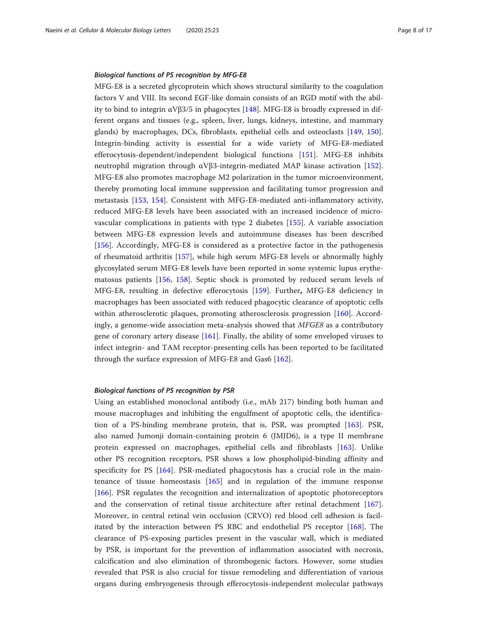#### Biological functions of PS recognition by MFG-E8

MFG-E8 is a secreted glycoprotein which shows structural similarity to the coagulation factors V and VIII. Its second EGF-like domain consists of an RGD motif with the ability to bind to integrin  $\alpha$ V $\beta$ 3/5 in phagocytes [\[148\]](#page-14-0). MFG-E8 is broadly expressed in different organs and tissues (e.g., spleen, liver, lungs, kidneys, intestine, and mammary glands) by macrophages, DCs, fibroblasts, epithelial cells and osteoclasts [[149,](#page-14-0) [150](#page-15-0)]. Integrin-binding activity is essential for a wide variety of MFG-E8-mediated efferocytosis-dependent/independent biological functions [[151\]](#page-15-0). MFG-E8 inhibits neutrophil migration through  $αVβ3$ -integrin-mediated MAP kinase activation [\[152](#page-15-0)]. MFG-E8 also promotes macrophage M2 polarization in the tumor microenvironment, thereby promoting local immune suppression and facilitating tumor progression and metastasis [\[153](#page-15-0), [154\]](#page-15-0). Consistent with MFG-E8-mediated anti-inflammatory activity, reduced MFG-E8 levels have been associated with an increased incidence of microvascular complications in patients with type 2 diabetes [\[155](#page-15-0)]. A variable association between MFG-E8 expression levels and autoimmune diseases has been described [[156\]](#page-15-0). Accordingly, MFG-E8 is considered as a protective factor in the pathogenesis of rheumatoid arthritis [[157\]](#page-15-0), while high serum MFG-E8 levels or abnormally highly glycosylated serum MFG-E8 levels have been reported in some systemic lupus erythematosus patients [\[156](#page-15-0), [158](#page-15-0)]. Septic shock is promoted by reduced serum levels of MFG-E8, resulting in defective efferocytosis [\[159](#page-15-0)]. Further, MFG-E8 deficiency in macrophages has been associated with reduced phagocytic clearance of apoptotic cells within atherosclerotic plaques, promoting atherosclerosis progression [\[160](#page-15-0)]. Accordingly, a genome-wide association meta-analysis showed that MFGE8 as a contributory gene of coronary artery disease [\[161](#page-15-0)]. Finally, the ability of some enveloped viruses to infect integrin- and TAM receptor-presenting cells has been reported to be facilitated through the surface expression of MFG-E8 and Gas6 [[162\]](#page-15-0).

#### Biological functions of PS recognition by PSR

Using an established monoclonal antibody (i.e., mAb 217) binding both human and mouse macrophages and inhibiting the engulfment of apoptotic cells, the identification of a PS-binding membrane protein, that is, PSR, was prompted [[163\]](#page-15-0). PSR, also named Jumonji domain-containing protein 6 (JMJD6), is a type II membrane protein expressed on macrophages, epithelial cells and fibroblasts [\[163](#page-15-0)]. Unlike other PS recognition receptors, PSR shows a low phospholipid-binding affinity and specificity for PS [[164\]](#page-15-0). PSR-mediated phagocytosis has a crucial role in the maintenance of tissue homeostasis [\[165](#page-15-0)] and in regulation of the immune response [[166\]](#page-15-0). PSR regulates the recognition and internalization of apoptotic photoreceptors and the conservation of retinal tissue architecture after retinal detachment [\[167](#page-15-0)]. Moreover, in central retinal vein occlusion (CRVO) red blood cell adhesion is facilitated by the interaction between PS RBC and endothelial PS receptor [[168\]](#page-15-0). The clearance of PS-exposing particles present in the vascular wall, which is mediated by PSR, is important for the prevention of inflammation associated with necrosis, calcification and also elimination of thrombogenic factors. However, some studies revealed that PSR is also crucial for tissue remodeling and differentiation of various organs during embryogenesis through efferocytosis-independent molecular pathways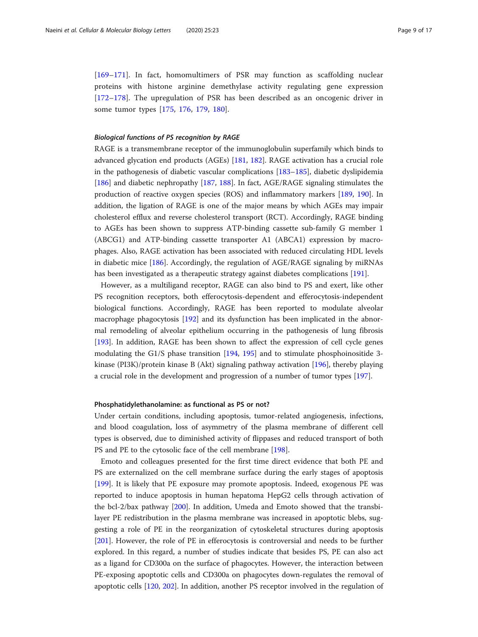[[169](#page-15-0)–[171\]](#page-15-0). In fact, homomultimers of PSR may function as scaffolding nuclear proteins with histone arginine demethylase activity regulating gene expression [[172](#page-15-0)–[178\]](#page-15-0). The upregulation of PSR has been described as an oncogenic driver in some tumor types [[175,](#page-15-0) [176,](#page-15-0) [179](#page-15-0), [180](#page-15-0)].

#### Biological functions of PS recognition by RAGE

RAGE is a transmembrane receptor of the immunoglobulin superfamily which binds to advanced glycation end products (AGEs) [\[181,](#page-15-0) [182\]](#page-15-0). RAGE activation has a crucial role in the pathogenesis of diabetic vascular complications [\[183](#page-15-0)–[185\]](#page-16-0), diabetic dyslipidemia [[186\]](#page-16-0) and diabetic nephropathy [\[187,](#page-16-0) [188\]](#page-16-0). In fact, AGE/RAGE signaling stimulates the production of reactive oxygen species (ROS) and inflammatory markers [[189](#page-16-0), [190\]](#page-16-0). In addition, the ligation of RAGE is one of the major means by which AGEs may impair cholesterol efflux and reverse cholesterol transport (RCT). Accordingly, RAGE binding to AGEs has been shown to suppress ATP-binding cassette sub-family G member 1 (ABCG1) and ATP-binding cassette transporter A1 (ABCA1) expression by macrophages. Also, RAGE activation has been associated with reduced circulating HDL levels in diabetic mice [\[186](#page-16-0)]. Accordingly, the regulation of AGE/RAGE signaling by miRNAs has been investigated as a therapeutic strategy against diabetes complications [[191\]](#page-16-0).

However, as a multiligand receptor, RAGE can also bind to PS and exert, like other PS recognition receptors, both efferocytosis-dependent and efferocytosis-independent biological functions. Accordingly, RAGE has been reported to modulate alveolar macrophage phagocytosis [\[192\]](#page-16-0) and its dysfunction has been implicated in the abnormal remodeling of alveolar epithelium occurring in the pathogenesis of lung fibrosis [[193\]](#page-16-0). In addition, RAGE has been shown to affect the expression of cell cycle genes modulating the G1/S phase transition [[194](#page-16-0), [195\]](#page-16-0) and to stimulate phosphoinositide 3 kinase (PI3K)/protein kinase B (Akt) signaling pathway activation [[196\]](#page-16-0), thereby playing a crucial role in the development and progression of a number of tumor types [\[197\]](#page-16-0).

#### Phosphatidylethanolamine: as functional as PS or not?

Under certain conditions, including apoptosis, tumor-related angiogenesis, infections, and blood coagulation, loss of asymmetry of the plasma membrane of different cell types is observed, due to diminished activity of flippases and reduced transport of both PS and PE to the cytosolic face of the cell membrane [[198\]](#page-16-0).

Emoto and colleagues presented for the first time direct evidence that both PE and PS are externalized on the cell membrane surface during the early stages of apoptosis [[199\]](#page-16-0). It is likely that PE exposure may promote apoptosis. Indeed, exogenous PE was reported to induce apoptosis in human hepatoma HepG2 cells through activation of the bcl-2/bax pathway [\[200\]](#page-16-0). In addition, Umeda and Emoto showed that the transbilayer PE redistribution in the plasma membrane was increased in apoptotic blebs, suggesting a role of PE in the reorganization of cytoskeletal structures during apoptosis [[201\]](#page-16-0). However, the role of PE in efferocytosis is controversial and needs to be further explored. In this regard, a number of studies indicate that besides PS, PE can also act as a ligand for CD300a on the surface of phagocytes. However, the interaction between PE-exposing apoptotic cells and CD300a on phagocytes down-regulates the removal of apoptotic cells [[120,](#page-14-0) [202](#page-16-0)]. In addition, another PS receptor involved in the regulation of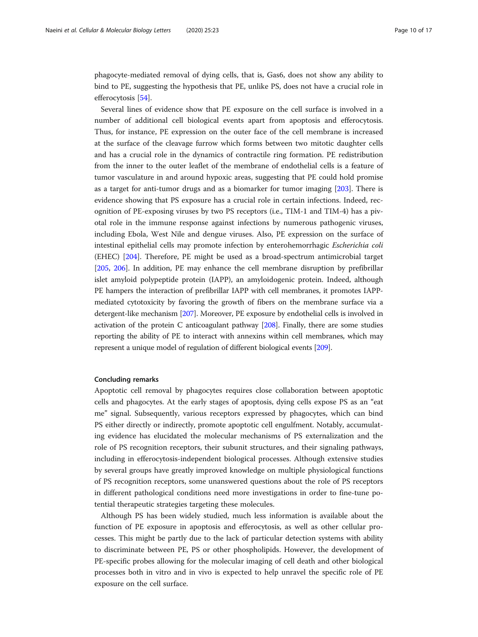phagocyte-mediated removal of dying cells, that is, Gas6, does not show any ability to bind to PE, suggesting the hypothesis that PE, unlike PS, does not have a crucial role in efferocytosis [\[54](#page-12-0)].

Several lines of evidence show that PE exposure on the cell surface is involved in a number of additional cell biological events apart from apoptosis and efferocytosis. Thus, for instance, PE expression on the outer face of the cell membrane is increased at the surface of the cleavage furrow which forms between two mitotic daughter cells and has a crucial role in the dynamics of contractile ring formation. PE redistribution from the inner to the outer leaflet of the membrane of endothelial cells is a feature of tumor vasculature in and around hypoxic areas, suggesting that PE could hold promise as a target for anti-tumor drugs and as a biomarker for tumor imaging [\[203\]](#page-16-0). There is evidence showing that PS exposure has a crucial role in certain infections. Indeed, recognition of PE-exposing viruses by two PS receptors (i.e., TIM-1 and TIM-4) has a pivotal role in the immune response against infections by numerous pathogenic viruses, including Ebola, West Nile and dengue viruses. Also, PE expression on the surface of intestinal epithelial cells may promote infection by enterohemorrhagic Escherichia coli (EHEC) [\[204](#page-16-0)]. Therefore, PE might be used as a broad-spectrum antimicrobial target [[205,](#page-16-0) [206](#page-16-0)]. In addition, PE may enhance the cell membrane disruption by prefibrillar islet amyloid polypeptide protein (IAPP), an amyloidogenic protein. Indeed, although PE hampers the interaction of prefibrillar IAPP with cell membranes, it promotes IAPPmediated cytotoxicity by favoring the growth of fibers on the membrane surface via a detergent-like mechanism [\[207\]](#page-16-0). Moreover, PE exposure by endothelial cells is involved in activation of the protein C anticoagulant pathway [\[208\]](#page-16-0). Finally, there are some studies reporting the ability of PE to interact with annexins within cell membranes, which may represent a unique model of regulation of different biological events [[209\]](#page-16-0).

#### Concluding remarks

Apoptotic cell removal by phagocytes requires close collaboration between apoptotic cells and phagocytes. At the early stages of apoptosis, dying cells expose PS as an "eat me" signal. Subsequently, various receptors expressed by phagocytes, which can bind PS either directly or indirectly, promote apoptotic cell engulfment. Notably, accumulating evidence has elucidated the molecular mechanisms of PS externalization and the role of PS recognition receptors, their subunit structures, and their signaling pathways, including in efferocytosis-independent biological processes. Although extensive studies by several groups have greatly improved knowledge on multiple physiological functions of PS recognition receptors, some unanswered questions about the role of PS receptors in different pathological conditions need more investigations in order to fine-tune potential therapeutic strategies targeting these molecules.

Although PS has been widely studied, much less information is available about the function of PE exposure in apoptosis and efferocytosis, as well as other cellular processes. This might be partly due to the lack of particular detection systems with ability to discriminate between PE, PS or other phospholipids. However, the development of PE-specific probes allowing for the molecular imaging of cell death and other biological processes both in vitro and in vivo is expected to help unravel the specific role of PE exposure on the cell surface.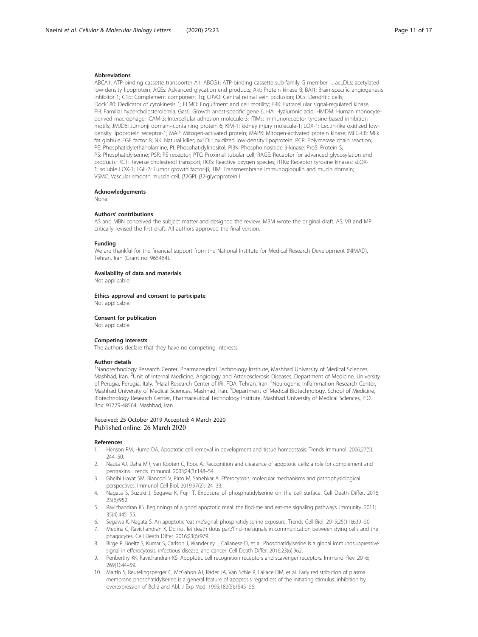#### <span id="page-10-0"></span>Abbreviations

ABCA1: ATP-binding cassette transporter A1; ABCG1: ATP-binding cassette sub-family G member 1; acLDLs: acetylated low-density lipoprotein; AGEs: Advanced glycation end products; Akt: Protein kinase B; BAI1: Brain-specific angiogenesis inhibitor 1; C1q: Complement component 1q; CRVO: Central retinal vein occlusion; DCs: Dendritic cells; Dock180: Dedicator of cytokinesis 1; ELMO: Engulfment and cell motility; ERK: Extracellular signal-regulated kinase; FH: Familial hypercholesterolemia; Gas6: Growth arrest-specific gene 6; HA: Hyaluronic acid; HMDM: Human monocytederived macrophage; ICAM-3: Intercellular adhesion molecule-3; ITIMs: Immunoreceptor tyrosine-based inhibition motifs; JMJD6: Jumonji domain–containing protein 6; KIM-1: kidney injury molecule-1; LOX-1: Lectin-like oxidized lowdensity lipoprotein receptor-1; MAP: Mitogen-activated protein; MAPK: Mitogen-activated protein kinase; MFG-E8: Milk fat globule EGF factor 8; NK: Natural killer; oxLDL: oxidized low-density lipoprotein; PCR: Polymerase chain reaction; PE: Phosphatidylethanolamine; PI: Phosphatidylinositol; PI3K: Phosphoinositide 3-kinase; ProS: Protein S; PS: Phosphatidylserine; PSR: PS receptor; PTC: Proximal tubular cell; RAGE: Receptor for advanced glycosylation end products; RCT: Reverse cholesterol transport; ROS: Reactive oxygen species; RTKs: Receptor tyrosine kinases; sLOX-1: soluble LOX-1; TGF-β: Tumor growth factor-β; TIM: Transmembrane immunoglobulin and mucin domain; VSMC: Vascular smooth muscle cell; β2GPI: β2-glycoprotein I

#### Acknowledgements

None.

#### Authors' contributions

AS and MBN conceived the subject matter and designed the review. MBM wrote the original draft. AS, VB and MP critically revised the first draft. All authors approved the final version.

#### Funding

We are thankful for the financial support from the National Institute for Medical Research Development (NIMAD), Tehran, Iran (Grant no: 965464).

#### Availability of data and materials

Not applicable.

#### Ethics approval and consent to participate Not applicable.

### Consent for publication

Not applicable.

#### Competing interests

The authors declare that they have no competing interests.

#### Author details

<sup>1</sup>Nanotechnology Research Center, Pharmaceutical Technology Institute, Mashhad University of Medical Sciences, Mashhad, Iran. <sup>2</sup>Unit of Internal Medicine, Angiology and Arteriosclerosis Diseases, Department of Medicine, University of Perugia, Perugia, Italy. <sup>3</sup>Halal Research Center of IRI, FDA, Tehran, Iran. <sup>4</sup>Neurogenic Inflammation Research Center, Mashhad University of Medical Sciences, Mashhad, Iran. <sup>5</sup>Department of Medical Biotechnology, School of Medicine, Biotechnology Research Center, Pharmaceutical Technology Institute, Mashhad University of Medical Sciences, P.O. Box: 91779-48564, Mashhad, Iran.

#### Received: 25 October 2019 Accepted: 4 March 2020 Published online: 26 March 2020

#### References

- 1. Henson PM, Hume DA. Apoptotic cell removal in development and tissue homeostasis. Trends Immunol. 2006;27(5): 244–50.
- 2. Nauta AJ, Daha MR, van Kooten C, Roos A. Recognition and clearance of apoptotic cells: a role for complement and pentraxins. Trends Immunol. 2003;24(3):148–54.
- Gheibi Hayat SM, Bianconi V, Pirro M, Sahebkar A. Efferocytosis: molecular mechanisms and pathophysiological perspectives. Immunol Cell Biol. 2019;97(2):124–33.
- 4. Nagata S, Suzuki J, Segawa K, Fujii T. Exposure of phosphatidylserine on the cell surface. Cell Death Differ. 2016; 23(6):952.
- 5. Ravichandran KS. Beginnings of a good apoptotic meal: the find-me and eat-me signaling pathways. Immunity. 2011; 35(4):445–55.
- 6. Segawa K, Nagata S. An apoptotic 'eat me'signal: phosphatidylserine exposure. Trends Cell Biol. 2015;25(11):639–50.
- 7. Medina C, Ravichandran K. Do not let death dous part:'find-me'signals in communication between dying cells and the phagocytes. Cell Death Differ. 2016;23(6):979.
- 8. Birge R, Boeltz S, Kumar S, Carlson J, Wanderley J, Calianese D, et al. Phosphatidylserine is a global immunosuppressive signal in efferocytosis, infectious disease, and cancer. Cell Death Differ. 2016;23(6):962.
- 9. Penberthy KK, Ravichandran KS. Apoptotic cell recognition receptors and scavenger receptors. Immunol Rev. 2016; 269(1):44–59.
- 10. Martin S, Reutelingsperger C, McGahon AJ, Rader JA, Van Schie R, LaFace DM, et al. Early redistribution of plasma membrane phosphatidylserine is a general feature of apoptosis regardless of the initiating stimulus: inhibition by overexpression of Bcl-2 and Abl. J Exp Med. 1995;182(5):1545–56.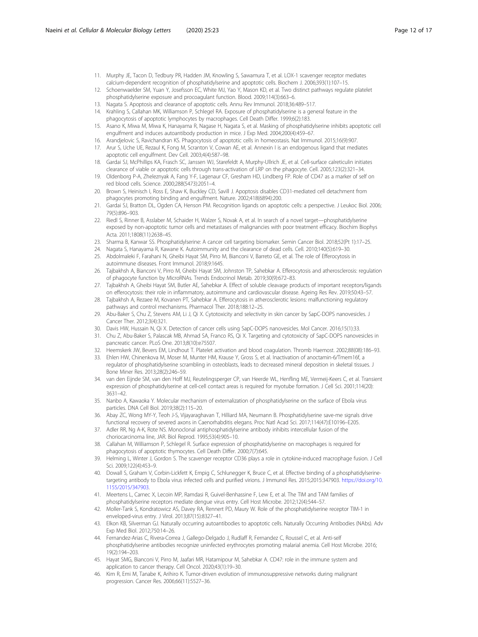- <span id="page-11-0"></span>11. Murphy JE, Tacon D, Tedbury PR, Hadden JM, Knowling S, Sawamura T, et al. LOX-1 scavenger receptor mediates calcium-dependent recognition of phosphatidylserine and apoptotic cells. Biochem J. 2006;393(1):107–15.
- 12. Schoenwaelder SM, Yuan Y, Josefsson EC, White MJ, Yao Y, Mason KD, et al. Two distinct pathways regulate platelet phosphatidylserine exposure and procoagulant function. Blood. 2009;114(3):663–6.
- 13. Nagata S. Apoptosis and clearance of apoptotic cells. Annu Rev Immunol. 2018;36:489–517.
- 14. Krahling S, Callahan MK, Williamson P, Schlegel RA. Exposure of phosphatidylserine is a general feature in the phagocytosis of apoptotic lymphocytes by macrophages. Cell Death Differ. 1999;6(2):183.
- 15. Asano K, Miwa M, Miwa K, Hanayama R, Nagase H, Nagata S, et al. Masking of phosphatidylserine inhibits apoptotic cell engulfment and induces autoantibody production in mice. J Exp Med. 2004;200(4):459–67.
- 16. Arandjelovic S, Ravichandran KS. Phagocytosis of apoptotic cells in homeostasis. Nat Immunol. 2015;16(9):907.
- 17. Arur S, Uche UE, Rezaul K, Fong M, Scranton V, Cowan AE, et al. Annexin I is an endogenous ligand that mediates apoptotic cell engulfment. Dev Cell. 2003;4(4):587–98.
- 18. Gardai SJ, McPhillips KA, Frasch SC, Janssen WJ, Starefeldt A, Murphy-Ullrich JE, et al. Cell-surface calreticulin initiates clearance of viable or apoptotic cells through trans-activation of LRP on the phagocyte. Cell. 2005;123(2):321–34.
- 19. Oldenborg P-A, Zheleznyak A, Fang Y-F, Lagenaur CF, Gresham HD, Lindberg FP. Role of CD47 as a marker of self on red blood cells. Science. 2000;288(5473):2051–4.
- 20. Brown S, Heinisch I, Ross E, Shaw K, Buckley CD, Savill J. Apoptosis disables CD31-mediated cell detachment from phagocytes promoting binding and engulfment. Nature. 2002;418(6894):200.
- 21. Gardai SJ, Bratton DL, Ogden CA, Henson PM. Recognition ligands on apoptotic cells: a perspective. J Leukoc Biol. 2006; 79(5):896–903.
- 22. Riedl S, Rinner B, Asslaber M, Schaider H, Walzer S, Novak A, et al. In search of a novel target—phosphatidylserine exposed by non-apoptotic tumor cells and metastases of malignancies with poor treatment efficacy. Biochim Biophys Acta. 2011;1808(11):2638-45.
- 23. Sharma B, Kanwar SS. Phosphatidylserine: A cancer cell targeting biomarker. Semin Cancer Biol. 2018;52(Pt 1):17–25.
- 24. Nagata S, Hanayama R, Kawane K. Autoimmunity and the clearance of dead cells. Cell. 2010;140(5):619–30.
- 25. Abdolmaleki F, Farahani N, Gheibi Hayat SM, Pirro M, Bianconi V, Barreto GE, et al. The role of Efferocytosis in autoimmune diseases. Front Immunol. 2018;9:1645.
- 26. Tajbakhsh A, Bianconi V, Pirro M, Gheibi Hayat SM, Johnston TP, Sahebkar A. Efferocytosis and atherosclerosis: regulation of phagocyte function by MicroRNAs. Trends Endocrinol Metab. 2019;30(9):672–83.
- 27. Tajbakhsh A, Gheibi Hayat SM, Butler AE, Sahebkar A. Effect of soluble cleavage products of important receptors/ligands
- on efferocytosis: their role in inflammatory, autoimmune and cardiovascular disease. Ageing Res Rev. 2019;50:43–57. 28. Tajbakhsh A, Rezaee M, Kovanen PT, Sahebkar A. Efferocytosis in atherosclerotic lesions: malfunctioning regulatory pathways and control mechanisms. Pharmacol Ther. 2018;188:12–25.
- 29. Abu-Baker S, Chu Z, Stevens AM, Li J, Qi X. Cytotoxicity and selectivity in skin cancer by SapC-DOPS nanovesicles. J Cancer Ther. 2012;3(4):321.
- 30. Davis HW, Hussain N, Qi X. Detection of cancer cells using SapC-DOPS nanovesicles. Mol Cancer. 2016;15(1):33.
- 31. Chu Z, Abu-Baker S, Palascak MB, Ahmad SA, Franco RS, Qi X. Targeting and cytotoxicity of SapC-DOPS nanovesicles in pancreatic cancer. PLoS One. 2013;8(10):e75507.
- 32. Heemskerk JW, Bevers EM, Lindhout T. Platelet activation and blood coagulation. Thromb Haemost. 2002;88(08):186–93.
- 33. Ehlen HW, Chinenkova M, Moser M, Munter HM, Krause Y, Gross S, et al. Inactivation of anoctamin-6/Tmem16f, a regulator of phosphatidylserine scrambling in osteoblasts, leads to decreased mineral deposition in skeletal tissues. J Bone Miner Res. 2013;28(2):246–59.
- 34. van den Eijnde SM, van den Hoff MJ, Reutelingsperger CP, van Heerde WL, Henfling ME, Vermeij-Keers C, et al. Transient expression of phosphatidylserine at cell-cell contact areas is required for myotube formation. J Cell Sci. 2001;114(20): 3631–42.
- 35. Nanbo A, Kawaoka Y. Molecular mechanism of externalization of phosphatidylserine on the surface of Ebola virus particles. DNA Cell Biol. 2019;38(2):115–20.
- 36. Abay ZC, Wong MY-Y, Teoh J-S, Vijayaraghavan T, Hilliard MA, Neumann B. Phosphatidylserine save-me signals drive functional recovery of severed axons in Caenorhabditis elegans. Proc Natl Acad Sci. 2017;114(47):E10196–E205.
- 37. Adler RR, Ng A-K, Rote NS. Monoclonal antiphosphatidylserine antibody inhibits intercellular fusion of the choriocarcinoma line, JAR. Biol Reprod. 1995;53(4):905–10.
- 38. Callahan M, Williamson P, Schlegel R. Surface expression of phosphatidylserine on macrophages is required for phagocytosis of apoptotic thymocytes. Cell Death Differ. 2000;7(7):645.
- 39. Helming L, Winter J, Gordon S. The scavenger receptor CD36 plays a role in cytokine-induced macrophage fusion. J Cell Sci. 2009;122(4):453–9.
- 40. Dowall S, Graham V, Corbin-Lickfett K, Empig C, Schlunegger K, Bruce C, et al. Effective binding of a phosphatidylserinetargeting antibody to Ebola virus infected cells and purified virions. J Immunol Res. 2015;2015:347903. [https://doi.org/10.](https://doi.org/10.1155/2015/347903) [1155/2015/347903](https://doi.org/10.1155/2015/347903).
- 41. Meertens L, Carnec X, Lecoin MP, Ramdasi R, Guivel-Benhassine F, Lew E, et al. The TIM and TAM families of phosphatidylserine receptors mediate dengue virus entry. Cell Host Microbe. 2012;12(4):544–57.
- 42. Moller-Tank S, Kondratowicz AS, Davey RA, Rennert PD, Maury W. Role of the phosphatidylserine receptor TIM-1 in enveloped-virus entry. J Virol. 2013;87(15):8327–41.
- 43. Elkon KB, Silverman GJ. Naturally occurring autoantibodies to apoptotic cells. Naturally Occurring Antibodies (NAbs). Adv Exp Med Biol. 2012;750:14–26.
- 44. Fernandez-Arias C, Rivera-Correa J, Gallego-Delgado J, Rudlaff R, Fernandez C, Roussel C, et al. Anti-self phosphatidylserine antibodies recognize uninfected erythrocytes promoting malarial anemia. Cell Host Microbe. 2016; 19(2):194–203.
- 45. Hayat SMG, Bianconi V, Pirro M, Jaafari MR, Hatamipour M, Sahebkar A. CD47: role in the immune system and application to cancer therapy. Cell Oncol. 2020;43(1):19–30.
- 46. Kim R, Emi M, Tanabe K, Arihiro K. Tumor-driven evolution of immunosuppressive networks during malignant progression. Cancer Res. 2006;66(11):5527–36.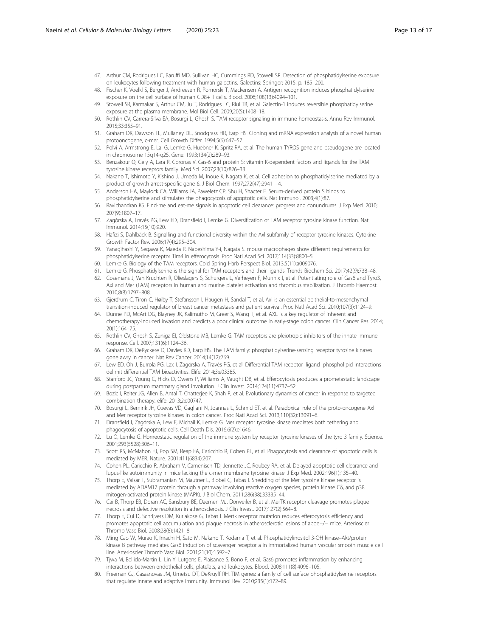- <span id="page-12-0"></span>47. Arthur CM, Rodrigues LC, Baruffi MD, Sullivan HC, Cummings RD, Stowell SR. Detection of phosphatidylserine exposure on leukocytes following treatment with human galectins. Galectins: Springer; 2015. p. 185–200.
- 48. Fischer K, Voelkl S, Berger J, Andreesen R, Pomorski T, Mackensen A. Antigen recognition induces phosphatidylserine exposure on the cell surface of human CD8+ T cells. Blood. 2006;108(13):4094–101.
- 49. Stowell SR, Karmakar S, Arthur CM, Ju T, Rodrigues LC, Riul TB, et al. Galectin-1 induces reversible phosphatidylserine exposure at the plasma membrane. Mol Biol Cell. 2009;20(5):1408–18.
- 50. Rothlin CV, Carrera-Silva EA, Bosurgi L, Ghosh S. TAM receptor signaling in immune homeostasis. Annu Rev Immunol. 2015;33:355–91.
- 51. Graham DK, Dawson TL, Mullaney DL, Snodgrass HR, Earp HS. Cloning and mRNA expression analysis of a novel human protooncogene, c-mer. Cell Growth Differ. 1994;5(6):647–57.
- 52. Polvi A, Armstrong E, Lai G, Lemke G, Huebner K, Spritz RA, et al. The human TYROS gene and pseudogene are located in chromosome 15q14-q25. Gene. 1993;134(2):289–93.
- 53. Benzakour O, Gely A, Lara R, Coronas V. Gas-6 and protein S: vitamin K-dependent factors and ligands for the TAM tyrosine kinase receptors family. Med Sci. 2007;23(10):826–33.
- 54. Nakano T, Ishimoto Y, Kishino J, Umeda M, Inoue K, Nagata K, et al. Cell adhesion to phosphatidylserine mediated by a product of growth arrest-specific gene 6. J Biol Chem. 1997;272(47):29411–4.
- 55. Anderson HA, Maylock CA, Williams JA, Paweletz CP, Shu H, Shacter E. Serum-derived protein S binds to phosphatidylserine and stimulates the phagocytosis of apoptotic cells. Nat Immunol. 2003;4(1):87.
- 56. Ravichandran KS. Find-me and eat-me signals in apoptotic cell clearance: progress and conundrums. J Exp Med. 2010; 207(9):1807–17.
- 57. Zagórska A, Través PG, Lew ED, Dransfield I, Lemke G. Diversification of TAM receptor tyrosine kinase function. Nat Immunol. 2014;15(10):920.
- 58. Hafizi S, Dahlbäck B. Signalling and functional diversity within the Axl subfamily of receptor tyrosine kinases. Cytokine Growth Factor Rev. 2006;17(4):295–304.
- 59. Yanagihashi Y, Segawa K, Maeda R. Nabeshima Y-i, Nagata S. mouse macrophages show different requirements for phosphatidylserine receptor Tim4 in efferocytosis. Proc Natl Acad Sci. 2017;114(33):8800–5.
- 60. Lemke G. Biology of the TAM receptors. Cold Spring Harb Perspect Biol. 2013;5(11):a009076.
- 61. Lemke G. Phosphatidylserine is the signal for TAM receptors and their ligands. Trends Biochem Sci. 2017;42(9):738–48.
- 62. Cosemans J, Van Kruchten R, Olieslagers S, Schurgers L, Verheyen F, Munnix I, et al. Potentiating role of Gas6 and Tyro3, Axl and Mer (TAM) receptors in human and murine platelet activation and thrombus stabilization. J Thromb Haemost. 2010;8(8):1797–808.
- 63. Gjerdrum C, Tiron C, Høiby T, Stefansson I, Haugen H, Sandal T, et al. Axl is an essential epithelial-to-mesenchymal transition-induced regulator of breast cancer metastasis and patient survival. Proc Natl Acad Sci. 2010;107(3):1124–9.
- 64. Dunne PD, McArt DG, Blayney JK, Kalimutho M, Greer S, Wang T, et al. AXL is a key regulator of inherent and chemotherapy-induced invasion and predicts a poor clinical outcome in early-stage colon cancer. Clin Cancer Res. 2014; 20(1):164–75.
- 65. Rothlin CV, Ghosh S, Zuniga EI, Oldstone MB, Lemke G. TAM receptors are pleiotropic inhibitors of the innate immune response. Cell. 2007;131(6):1124–36.
- 66. Graham DK, DeRyckere D, Davies KD, Earp HS. The TAM family: phosphatidylserine-sensing receptor tyrosine kinases gone awry in cancer. Nat Rev Cancer. 2014;14(12):769.
- 67. Lew ED, Oh J, Burrola PG, Lax I, Zagórska A, Través PG, et al. Differential TAM receptor–ligand–phospholipid interactions delimit differential TAM bioactivities. Elife. 2014;3:e03385.
- 68. Stanford JC, Young C, Hicks D, Owens P, Williams A, Vaught DB, et al. Efferocytosis produces a prometastatic landscape during postpartum mammary gland involution. J Clin Invest. 2014;124(11):4737–52.
- 69. Bozic I, Reiter JG, Allen B, Antal T, Chatterjee K, Shah P, et al. Evolutionary dynamics of cancer in response to targeted combination therapy. elife. 2013;2:e00747.
- 70. Bosurgi L, Bernink JH, Cuevas VD, Gagliani N, Joannas L, Schmid ET, et al. Paradoxical role of the proto-oncogene Axl and Mer receptor tyrosine kinases in colon cancer. Proc Natl Acad Sci. 2013;110(32):13091–6.
- 71. Dransfield I, Zagórska A, Lew E, Michail K, Lemke G. Mer receptor tyrosine kinase mediates both tethering and phagocytosis of apoptotic cells. Cell Death Dis. 2016;6(2):e1646.
- 72. Lu Q, Lemke G. Homeostatic regulation of the immune system by receptor tyrosine kinases of the tyro 3 family. Science. 2001;293(5528):306–11.
- 73. Scott RS, McMahon EJ, Pop SM, Reap EA, Caricchio R, Cohen PL, et al. Phagocytosis and clearance of apoptotic cells is mediated by MER. Nature. 2001;411(6834):207.
- 74. Cohen PL, Caricchio R, Abraham V, Camenisch TD, Jennette JC, Roubey RA, et al. Delayed apoptotic cell clearance and lupus-like autoimmunity in mice lacking the c-mer membrane tyrosine kinase. J Exp Med. 2002;196(1):135–40.
- 75. Thorp E, Vaisar T, Subramanian M, Mautner L, Blobel C, Tabas I. Shedding of the Mer tyrosine kinase receptor is mediated by ADAM17 protein through a pathway involving reactive oxygen species, protein kinase Cδ, and p38 mitogen-activated protein kinase (MAPK). J Biol Chem. 2011;286(38):33335–44.
- 76. Cai B, Thorp EB, Doran AC, Sansbury BE, Daemen MJ, Dorweiler B, et al. MerTK receptor cleavage promotes plaque necrosis and defective resolution in atherosclerosis. J Clin Invest. 2017;127(2):564–8.
- 77. Thorp E, Cui D, Schrijvers DM, Kuriakose G, Tabas I. Mertk receptor mutation reduces efferocytosis efficiency and promotes apoptotic cell accumulation and plaque necrosis in atherosclerotic lesions of apoe−/− mice. Arterioscler Thromb Vasc Biol. 2008;28(8):1421–8.
- 78. Ming Cao W, Murao K, Imachi H, Sato M, Nakano T, Kodama T, et al. Phosphatidylinositol 3-OH kinase–Akt/protein kinase B pathway mediates Gas6 induction of scavenger receptor a in immortalized human vascular smooth muscle cell line. Arterioscler Thromb Vasc Biol. 2001;21(10):1592–7.
- 79. Tjwa M, Bellido-Martin L, Lin Y, Lutgens E, Plaisance S, Bono F, et al. Gas6 promotes inflammation by enhancing interactions between endothelial cells, platelets, and leukocytes. Blood. 2008;111(8):4096–105.
- 80. Freeman GJ, Casasnovas JM, Umetsu DT, DeKruyff RH. TIM genes: a family of cell surface phosphatidylserine receptors that regulate innate and adaptive immunity. Immunol Rev. 2010;235(1):172–89.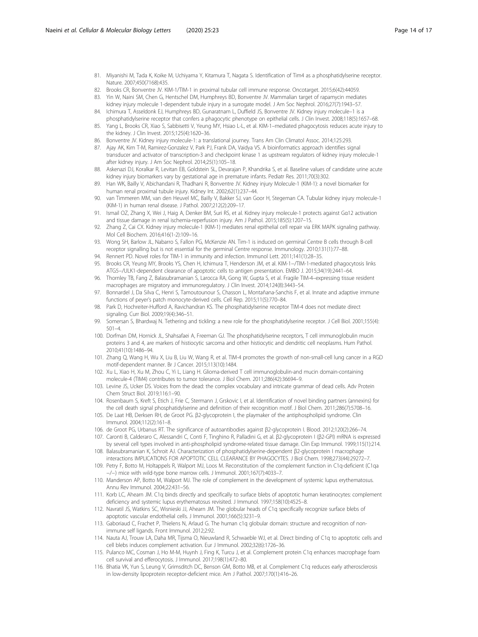- <span id="page-13-0"></span>81. Miyanishi M, Tada K, Koike M, Uchiyama Y, Kitamura T, Nagata S. Identification of Tim4 as a phosphatidylserine receptor. Nature. 2007;450(7168):435.
- 82. Brooks CR, Bonventre JV. KIM-1/TIM-1 in proximal tubular cell immune response. Oncotarget. 2015;6(42):44059.
- 83. Yin W, Naini SM, Chen G, Hentschel DM, Humphreys BD, Bonventre JV. Mammalian target of rapamycin mediates kidney injury molecule 1-dependent tubule injury in a surrogate model. J Am Soc Nephrol. 2016;27(7):1943–57.
- 84. Ichimura T, Asseldonk EJ, Humphreys BD, Gunaratnam L, Duffield JS, Bonventre JV. Kidney injury molecule-1 is a phosphatidylserine receptor that confers a phagocytic phenotype on epithelial cells. J Clin Invest. 2008;118(5):1657–68.
- 85. Yang L, Brooks CR, Xiao S, Sabbisetti V, Yeung MY, Hsiao L-L, et al. KIM-1–mediated phagocytosis reduces acute injury to the kidney. J Clin Invest. 2015;125(4):1620–36.
- 86. Bonventre JV. Kidney injury molecule-1: a translational journey. Trans Am Clin Climatol Assoc. 2014;125:293.
- 87. Ajay AK, Kim T-M, Ramirez-Gonzalez V, Park PJ, Frank DA, Vaidya VS. A bioinformatics approach identifies signal transducer and activator of transcription-3 and checkpoint kinase 1 as upstream regulators of kidney injury molecule-1 after kidney injury. J Am Soc Nephrol. 2014;25(1):105–18.
- 88. Askenazi DJ, Koralkar R, Levitan EB, Goldstein SL, Devarajan P, Khandrika S, et al. Baseline values of candidate urine acute kidney injury biomarkers vary by gestational age in premature infants. Pediatr Res. 2011;70(3):302.
- 89. Han WK, Bailly V, Abichandani R, Thadhani R, Bonventre JV. Kidney injury Molecule-1 (KIM-1): a novel biomarker for human renal proximal tubule injury. Kidney Int. 2002;62(1):237–44.
- 90. van Timmeren MM, van den Heuvel MC, Bailly V, Bakker SJ, van Goor H, Stegeman CA. Tubular kidney injury molecule-1 (KIM-1) in human renal disease. J Pathol. 2007;212(2):209–17.
- 91. Ismail OZ, Zhang X, Wei J, Haig A, Denker BM, Suri RS, et al. Kidney injury molecule-1 protects against Gα12 activation and tissue damage in renal ischemia-reperfusion injury. Am J Pathol. 2015;185(5):1207–15.
- 92. Zhang Z, Cai CX. Kidney injury molecule-1 (KIM-1) mediates renal epithelial cell repair via ERK MAPK signaling pathway. Mol Cell Biochem. 2016;416(1-2):109–16.
- 93. Wong SH, Barlow JL, Nabarro S, Fallon PG, McKenzie AN. Tim-1 is induced on germinal Centre B cells through B-cell receptor signalling but is not essential for the germinal Centre response. Immunology. 2010;131(1):77–88.
- 94. Rennert PD. Novel roles for TIM-1 in immunity and infection. Immunol Lett. 2011;141(1):28–35.
- 95. Brooks CR, Yeung MY, Brooks YS, Chen H, Ichimura T, Henderson JM, et al. KIM-1−/TIM-1-mediated phagocytosis links ATG5−/ULK1-dependent clearance of apoptotic cells to antigen presentation. EMBO J. 2015;34(19):2441–64.
- 96. Thornley TB, Fang Z, Balasubramanian S, Larocca RA, Gong W, Gupta S, et al. Fragile TIM-4–expressing tissue resident macrophages are migratory and immunoregulatory. J Clin Invest. 2014;124(8):3443–54.
- 97. Bonnardel J, Da Silva C, Henri S, Tamoutounour S, Chasson L, Montañana-Sanchis F, et al. Innate and adaptive immune functions of peyer's patch monocyte-derived cells. Cell Rep. 2015;11(5):770–84.
- 98. Park D, Hochreiter-Hufford A, Ravichandran KS. The phosphatidylserine receptor TIM-4 does not mediate direct signaling. Curr Biol. 2009;19(4):346–51.
- 99. Somersan S, Bhardwaj N. Tethering and tickling: a new role for the phosphatidylserine receptor. J Cell Biol. 2001;155(4): 501–4.
- 100. Dorfman DM, Hornick JL, Shahsafaei A, Freeman GJ. The phosphatidylserine receptors, T cell immunoglobulin mucin proteins 3 and 4, are markers of histiocytic sarcoma and other histiocytic and dendritic cell neoplasms. Hum Pathol. 2010;41(10):1486–94.
- 101. Zhang Q, Wang H, Wu X, Liu B, Liu W, Wang R, et al. TIM-4 promotes the growth of non-small-cell lung cancer in a RGD motif-dependent manner. Br J Cancer. 2015;113(10):1484.
- 102. Xu L, Xiao H, Xu M, Zhou C, Yi L, Liang H. Glioma-derived T cell immunoglobulin-and mucin domain-containing molecule-4 (TIM4) contributes to tumor tolerance. J Biol Chem. 2011;286(42):36694–9.
- 103. Levine JS, Ucker DS. Voices from the dead: the complex vocabulary and intricate grammar of dead cells. Adv Protein Chem Struct Biol. 2019;116:1–90.
- 104. Rosenbaum S, Kreft S, Etich J, Frie C, Stermann J, Grskovic I, et al. Identification of novel binding partners (annexins) for the cell death signal phosphatidylserine and definition of their recognition motif. J Biol Chem. 2011;286(7):5708–16.
- 105. De Laat HB, Derksen RH, de Groot PG. β2-glycoprotein I, the playmaker of the antiphospholipid syndrome. Clin Immunol. 2004;112(2):161–8.
- 106. de Groot PG, Urbanus RT. The significance of autoantibodies against β2-glycoprotein I. Blood. 2012;120(2):266–74.
- 107. Caronti B, Calderaro C, Alessandri C, Conti F, Tinghino R, Palladini G, et al. β2-glycoprotein I (β2-GPI) mRNA is expressed by several cell types involved in anti-phospholipid syndrome-related tissue damage. Clin Exp Immunol. 1999;115(1):214. 108. Balasubramanian K, Schroit AJ. Characterization of phosphatidylserine-dependent β2-glycoprotein I macrophage
- interactions IMPLICATIONS FOR APOPTOTIC CELL CLEARANCE BY PHAGOCYTES. J Biol Chem. 1998;273(44):29272–7.
- 109. Petry F, Botto M, Holtappels R, Walport MJ, Loos M. Reconstitution of the complement function in C1q-deficient (C1qa −/−) mice with wild-type bone marrow cells. J Immunol. 2001;167(7):4033–7.
- 110. Manderson AP, Botto M, Walport MJ. The role of complement in the development of systemic lupus erythematosus. Annu Rev Immunol. 2004;22:431–56.
- 111. Korb LC, Ahearn JM. C1q binds directly and specifically to surface blebs of apoptotic human keratinocytes: complement deficiency and systemic lupus erythematosus revisited. J Immunol. 1997;158(10):4525–8.
- 112. Navratil JS, Watkins SC, Wisnieski JJ, Ahearn JM. The globular heads of C1q specifically recognize surface blebs of apoptotic vascular endothelial cells. J Immunol. 2001;166(5):3231–9.
- 113. Gaboriaud C, Frachet P, Thielens N, Arlaud G. The human c1q globular domain: structure and recognition of nonimmune self ligands. Front Immunol. 2012;2:92.
- 114. Nauta AJ, Trouw LA, Daha MR, Tijsma O, Nieuwland R, Schwaeble WJ, et al. Direct binding of C1q to apoptotic cells and cell blebs induces complement activation. Eur J Immunol. 2002;32(6):1726–36.
- 115. Pulanco MC, Cosman J, Ho M-M, Huynh J, Fing K, Turcu J, et al. Complement protein C1q enhances macrophage foam cell survival and efferocytosis. J Immunol. 2017;198(1):472–80.
- 116. Bhatia VK, Yun S, Leung V, Grimsditch DC, Benson GM, Botto MB, et al. Complement C1q reduces early atherosclerosis in low-density lipoprotein receptor-deficient mice. Am J Pathol. 2007;170(1):416–26.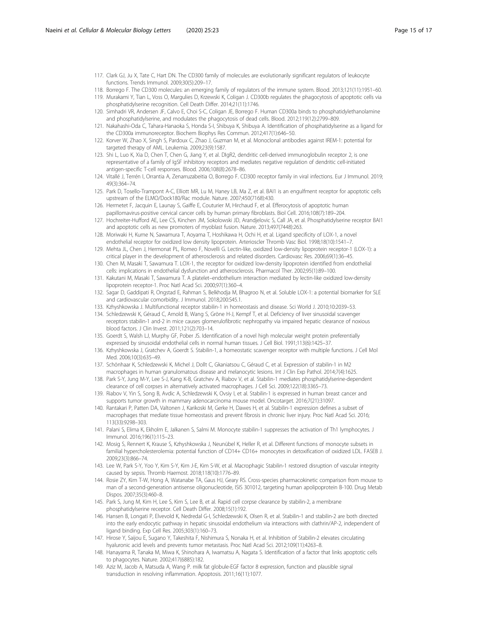- <span id="page-14-0"></span>117. Clark GJ, Ju X, Tate C, Hart DN. The CD300 family of molecules are evolutionarily significant regulators of leukocyte functions. Trends Immunol. 2009;30(5):209–17.
- 118. Borrego F. The CD300 molecules: an emerging family of regulators of the immune system. Blood. 2013;121(11):1951–60.
- 119. Murakami Y, Tian L, Voss O, Margulies D, Krzewski K, Coligan J. CD300b regulates the phagocytosis of apoptotic cells via phosphatidylserine recognition. Cell Death Differ. 2014;21(11):1746.
- 120. Simhadri VR, Andersen JF, Calvo E, Choi S-C, Coligan JE, Borrego F. Human CD300a binds to phosphatidylethanolamine and phosphatidylserine, and modulates the phagocytosis of dead cells. Blood. 2012;119(12):2799–809.
- 121. Nakahashi-Oda C, Tahara-Hanaoka S, Honda S-I, Shibuya K, Shibuya A. Identification of phosphatidylserine as a ligand for the CD300a immunoreceptor. Biochem Biophys Res Commun. 2012;417(1):646–50.
- 122. Korver W, Zhao X, Singh S, Pardoux C, Zhao J, Guzman M, et al. Monoclonal antibodies against IREM-1: potential for targeted therapy of AML. Leukemia. 2009;23(9):1587.
- 123. Shi L, Luo K, Xia D, Chen T, Chen G, Jiang Y, et al. DIgR2, dendritic cell-derived immunoglobulin receptor 2, is one representative of a family of IgSF inhibitory receptors and mediates negative regulation of dendritic cell-initiated antigen-specific T-cell responses. Blood. 2006;108(8):2678–86.
- 124. Vitallé J, Terrén I, Orrantia A, Zenarruzabeitia O, Borrego F. CD300 receptor family in viral infections. Eur J Immunol. 2019; 49(3):364–74.
- 125. Park D, Tosello-Trampont A-C, Elliott MR, Lu M, Haney LB, Ma Z, et al. BAI1 is an engulfment receptor for apoptotic cells upstream of the ELMO/Dock180/Rac module. Nature. 2007;450(7168):430.
- 126. Hermetet F, Jacquin E, Launay S, Gaiffe E, Couturier M, Hirchaud F, et al. Efferocytosis of apoptotic human papillomavirus-positive cervical cancer cells by human primary fibroblasts. Biol Cell. 2016;108(7):189–204.
- 127. Hochreiter-Hufford AE, Lee CS, Kinchen JM, Sokolowski JD, Arandjelovic S, Call JA, et al. Phosphatidylserine receptor BAI1 and apoptotic cells as new promoters of myoblast fusion. Nature. 2013;497(7448):263.
- 128. Moriwaki H, Kume N, Sawamura T, Aoyama T, Hoshikawa H, Ochi H, et al. Ligand specificity of LOX-1, a novel endothelial receptor for oxidized low density lipoprotein. Arterioscler Thromb Vasc Biol. 1998;18(10):1541–7.
- 129. Mehta JL, Chen J, Hermonat PL, Romeo F, Novelli G. Lectin-like, oxidized low-density lipoprotein receptor-1 (LOX-1): a critical player in the development of atherosclerosis and related disorders. Cardiovasc Res. 2006;69(1):36–45.
- 130. Chen M, Masaki T, Sawamura T. LOX-1, the receptor for oxidized low-density lipoprotein identified from endothelial cells: implications in endothelial dysfunction and atherosclerosis. Pharmacol Ther. 2002;95(1):89–100.
- 131. Kakutani M, Masaki T, Sawamura T. A platelet–endothelium interaction mediated by lectin-like oxidized low-density lipoprotein receptor-1. Proc Natl Acad Sci. 2000;97(1):360–4.
- 132. Sagar D, Gaddipati R, Ongstad E, Rahman S, Belkhodja M, Bhagroo N, et al. Soluble LOX-1: a potential biomarker for SLE and cardiovascular comorbidity. J Immunol. 2018;200:S45.1.
- 133. Kzhyshkowska J. Multifunctional receptor stabilin-1 in homeostasis and disease. Sci World J. 2010;10:2039–53.
- 134. Schledzewski K, Géraud C, Arnold B, Wang S, Gröne H-J, Kempf T, et al. Deficiency of liver sinusoidal scavenger receptors stabilin-1 and-2 in mice causes glomerulofibrotic nephropathy via impaired hepatic clearance of noxious blood factors. J Clin Invest. 2011;121(2):703–14.
- 135. Goerdt S, Walsh LJ, Murphy GF, Pober JS. Identification of a novel high molecular weight protein preferentially expressed by sinusoidal endothelial cells in normal human tissues. J Cell Biol. 1991;113(6):1425–37.
- 136. Kzhyshkowska J, Gratchev A, Goerdt S. Stabilin-1, a homeostatic scavenger receptor with multiple functions. J Cell Mol Med. 2006;10(3):635–49.
- 137. Schönhaar K, Schledzewski K, Michel J, Dollt C, Gkaniatsou C, Géraud C, et al. Expression of stabilin-1 in M2 macrophages in human granulomatous disease and melanocytic lesions. Int J Clin Exp Pathol. 2014;7(4):1625.
- 138. Park S-Y, Jung M-Y, Lee S-J, Kang K-B, Gratchev A, Riabov V, et al. Stabilin-1 mediates phosphatidylserine-dependent clearance of cell corpses in alternatively activated macrophages. J Cell Sci. 2009;122(18):3365–73.
- 139. Riabov V, Yin S, Song B, Avdic A, Schledzewski K, Ovsiy I, et al. Stabilin-1 is expressed in human breast cancer and supports tumor growth in mammary adenocarcinoma mouse model. Oncotarget. 2016;7(21):31097.
- 140. Rantakari P, Patten DA, Valtonen J, Karikoski M, Gerke H, Dawes H, et al. Stabilin-1 expression defines a subset of macrophages that mediate tissue homeostasis and prevent fibrosis in chronic liver injury. Proc Natl Acad Sci. 2016; 113(33):9298–303.
- 141. Palani S, Elima K, Ekholm E, Jalkanen S, Salmi M. Monocyte stabilin-1 suppresses the activation of Th1 lymphocytes. J Immunol. 2016;196(1):115–23.
- 142. Mosig S, Rennert K, Krause S, Kzhyshkowska J, Neunübel K, Heller R, et al. Different functions of monocyte subsets in familial hypercholesterolemia: potential function of CD14+ CD16+ monocytes in detoxification of oxidized LDL. FASEB J. 2009;23(3):866–74.
- 143. Lee W, Park S-Y, Yoo Y, Kim S-Y, Kim J-E, Kim S-W, et al. Macrophagic Stabilin-1 restored disruption of vascular integrity caused by sepsis. Thromb Haemost. 2018;118(10):1776–89.
- 144. Rosie ZY, Kim T-W, Hong A, Watanabe TA, Gaus HJ, Geary RS. Cross-species pharmacokinetic comparison from mouse to man of a second-generation antisense oligonucleotide, ISIS 301012, targeting human apolipoprotein B-100. Drug Metab Dispos. 2007;35(3):460–8.
- 145. Park S, Jung M, Kim H, Lee S, Kim S, Lee B, et al. Rapid cell corpse clearance by stabilin-2, a membrane phosphatidylserine receptor. Cell Death Differ. 2008;15(1):192.
- 146. Hansen B, Longati P, Elvevold K, Nedredal G-I, Schledzewski K, Olsen R, et al. Stabilin-1 and stabilin-2 are both directed into the early endocytic pathway in hepatic sinusoidal endothelium via interactions with clathrin/AP-2, independent of ligand binding. Exp Cell Res. 2005;303(1):160–73.
- 147. Hirose Y, Saijou E, Sugano Y, Takeshita F, Nishimura S, Nonaka H, et al. Inhibition of Stabilin-2 elevates circulating hyaluronic acid levels and prevents tumor metastasis. Proc Natl Acad Sci. 2012;109(11):4263–8.
- 148. Hanayama R, Tanaka M, Miwa K, Shinohara A, Iwamatsu A, Nagata S. Identification of a factor that links apoptotic cells to phagocytes. Nature. 2002;417(6885):182.
- 149. Aziz M, Jacob A, Matsuda A, Wang P. milk fat globule-EGF factor 8 expression, function and plausible signal transduction in resolving inflammation. Apoptosis. 2011;16(11):1077.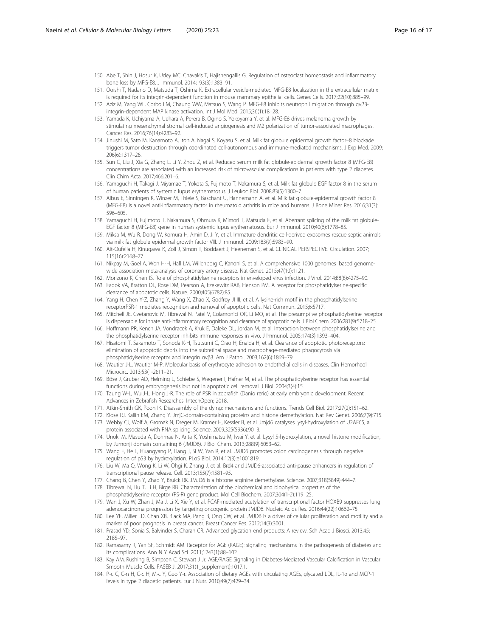- <span id="page-15-0"></span>150. Abe T, Shin J, Hosur K, Udey MC, Chavakis T, Hajishengallis G. Regulation of osteoclast homeostasis and inflammatory bone loss by MFG-E8. J Immunol. 2014;193(3):1383–91.
- 151. Ooishi T, Nadano D, Matsuda T, Oshima K. Extracellular vesicle-mediated MFG-E8 localization in the extracellular matrix is required for its integrin-dependent function in mouse mammary epithelial cells. Genes Cells. 2017;22(10):885–99.
- 152. Aziz M, Yang WL, Corbo LM, Chaung WW, Matsuo S, Wang P. MFG-E8 inhibits neutrophil migration through αvβ3 integrin-dependent MAP kinase activation. Int J Mol Med. 2015;36(1):18–28.
- 153. Yamada K, Uchiyama A, Uehara A, Perera B, Ogino S, Yokoyama Y, et al. MFG-E8 drives melanoma growth by stimulating mesenchymal stromal cell-induced angiogenesis and M2 polarization of tumor-associated macrophages. Cancer Res. 2016;76(14):4283–92.
- 154. Jinushi M, Sato M, Kanamoto A, Itoh A, Nagai S, Koyasu S, et al. Milk fat globule epidermal growth factor–8 blockade triggers tumor destruction through coordinated cell-autonomous and immune-mediated mechanisms. J Exp Med. 2009; 206(6):1317–26.
- 155. Sun G, Liu J, Xia G, Zhang L, Li Y, Zhou Z, et al. Reduced serum milk fat globule-epidermal growth factor 8 (MFG-E8) concentrations are associated with an increased risk of microvascular complications in patients with type 2 diabetes. Clin Chim Acta. 2017;466:201–6.
- 156. Yamaguchi H, Takagi J, Miyamae T, Yokota S, Fujimoto T, Nakamura S, et al. Milk fat globule EGF factor 8 in the serum of human patients of systemic lupus erythematosus. J Leukoc Biol. 2008;83(5):1300–7.
- 157. Albus E, Sinningen K, Winzer M, Thiele S, Baschant U, Hannemann A, et al. Milk fat globule-epidermal growth factor 8 (MFG-E8) is a novel anti-inflammatory factor in rheumatoid arthritis in mice and humans. J Bone Miner Res. 2016;31(3): 596–605.
- 158. Yamaguchi H, Fujimoto T, Nakamura S, Ohmura K, Mimori T, Matsuda F, et al. Aberrant splicing of the milk fat globule-EGF factor 8 (MFG-E8) gene in human systemic lupus erythematosus. Eur J Immunol. 2010;40(6):1778–85.
- 159. Miksa M, Wu R, Dong W, Komura H, Amin D, Ji Y, et al. Immature dendritic cell-derived exosomes rescue septic animals via milk fat globule epidermal growth factor VIII. J Immunol. 2009;183(9):5983–90.
- 160. Ait-Oufella H, Kinugawa K, Zoll J, Simon T, Boddaert J, Heeneman S, et al. CLINICAL PERSPECTIVE. Circulation. 2007; 115(16):2168–77.
- 161. Nikpay M, Goel A, Won H-H, Hall LM, Willenborg C, Kanoni S, et al. A comprehensive 1000 genomes–based genomewide association meta-analysis of coronary artery disease. Nat Genet. 2015;47(10):1121.
- 162. Morizono K, Chen IS. Role of phosphatidylserine receptors in enveloped virus infection. J Virol. 2014;88(8):4275–90.
- 163. Fadok VA, Bratton DL, Rose DM, Pearson A, Ezekewitz RAB, Henson PM. A receptor for phosphatidylserine-specific clearance of apoptotic cells. Nature. 2000;405(6782):85.
- 164. Yang H, Chen Y-Z, Zhang Y, Wang X, Zhao X, Godfroy JI III, et al. A lysine-rich motif in the phosphatidylserine receptorPSR-1 mediates recognition and removal of apoptotic cells. Nat Commun. 2015;6:5717.
- 165. Mitchell JE, Cvetanovic M, Tibrewal N, Patel V, Colamonici OR, Li MO, et al. The presumptive phosphatidylserine receptor is dispensable for innate anti-inflammatory recognition and clearance of apoptotic cells. J Biol Chem. 2006;281(9):5718–25.
- 166. Hoffmann PR, Kench JA, Vondracek A, Kruk E, Daleke DL, Jordan M, et al. Interaction between phosphatidylserine and the phosphatidylserine receptor inhibits immune responses in vivo. J Immunol. 2005;174(3):1393–404.
- 167. Hisatomi T, Sakamoto T, Sonoda K-H, Tsutsumi C, Qiao H, Enaida H, et al. Clearance of apoptotic photoreceptors: elimination of apoptotic debris into the subretinal space and macrophage-mediated phagocytosis via phosphatidylserine receptor and integrin αvβ3. Am J Pathol. 2003;162(6):1869–79.
- 168. Wautier J-L, Wautier M-P. Molecular basis of erythrocyte adhesion to endothelial cells in diseases. Clin Hemorheol Microcirc. 2013;53(1-2):11–21.
- 169. Böse J, Gruber AD, Helming L, Schiebe S, Wegener I, Hafner M, et al. The phosphatidylserine receptor has essential functions during embryogenesis but not in apoptotic cell removal. J Biol. 2004;3(4):15.
- 170. Taung W-L, Wu J-L, Hong J-R. The role of PSR in zebrafish (Danio rerio) at early embryonic development. Recent Advances in Zebrafish Researches: IntechOpen; 2018.
- 171. Atkin-Smith GK, Poon IK. Disassembly of the dying: mechanisms and functions. Trends Cell Biol. 2017;27(2):151–62.
- 172. Klose RJ, Kallin EM, Zhang Y. JmjC-domain-containing proteins and histone demethylation. Nat Rev Genet. 2006;7(9):715.
- 173. Webby CJ, Wolf A, Gromak N, Dreger M, Kramer H, Kessler B, et al. Jmjd6 catalyses lysyl-hydroxylation of U2AF65, a protein associated with RNA splicing. Science. 2009;325(5936):90–3.
- 174. Unoki M, Masuda A, Dohmae N, Arita K, Yoshimatsu M, Iwai Y, et al. Lysyl 5-hydroxylation, a novel histone modification, by Jumonji domain containing 6 (JMJD6). J Biol Chem. 2013;288(9):6053–62.
- 175. Wang F, He L, Huangyang P, Liang J, Si W, Yan R, et al. JMJD6 promotes colon carcinogenesis through negative regulation of p53 by hydroxylation. PLoS Biol. 2014;12(3):e1001819.
- 176. Liu W, Ma Q, Wong K, Li W, Ohgi K, Zhang J, et al. Brd4 and JMJD6-associated anti-pause enhancers in regulation of transcriptional pause release. Cell. 2013;155(7):1581–95.
- 177. Chang B, Chen Y, Zhao Y, Bruick RK. JMJD6 is a histone arginine demethylase. Science. 2007;318(5849):444–7.
- 178. Tibrewal N, Liu T, Li H, Birge RB. Characterization of the biochemical and biophysical properties of the phosphatidylserine receptor (PS-R) gene product. Mol Cell Biochem. 2007;304(1-2):119–25.
- 179. Wan J, Xu W, Zhan J, Ma J, Li X, Xie Y, et al. PCAF-mediated acetylation of transcriptional factor HOXB9 suppresses lung adenocarcinoma progression by targeting oncogenic protein JMJD6. Nucleic Acids Res. 2016;44(22):10662–75.
- 180. Lee YF, Miller LD, Chan XB, Black MA, Pang B, Ong CW, et al. JMJD6 is a driver of cellular proliferation and motility and a marker of poor prognosis in breast cancer. Breast Cancer Res. 2012;14(3):3001.
- 181. Prasad YD, Sonia S, Balvinder S, Charan CR. Advanced glycation end products: A review. Sch Acad J Biosci. 2013;45: 2185–97.
- 182. Ramasamy R, Yan SF, Schmidt AM. Receptor for AGE (RAGE): signaling mechanisms in the pathogenesis of diabetes and its complications. Ann N Y Acad Sci. 2011;1243(1):88–102.
- 183. Kay AM, Rushing B, Simpson C, Stewart J Jr. AGE/RAGE Signaling in Diabetes-Mediated Vascular Calcification in Vascular Smooth Muscle Cells. FASEB J. 2017;31(1\_supplement):1017.1.
- 184. P-c C, C-n H, C-c H, M-c Y, Guo Y-r. Association of dietary AGEs with circulating AGEs, glycated LDL, IL-1α and MCP-1 levels in type 2 diabetic patients. Eur J Nutr. 2010;49(7):429–34.